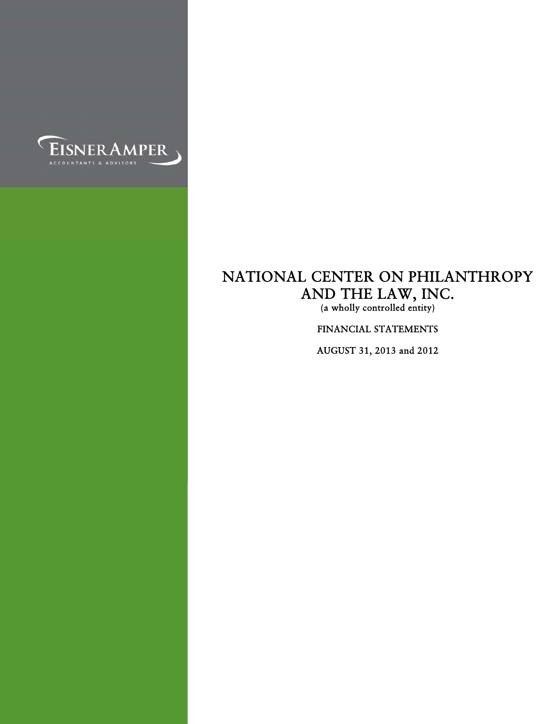

(a wholly controlled entity)

FINANCIAL STATEMENTS

AUGUST 31, 2013 and 2012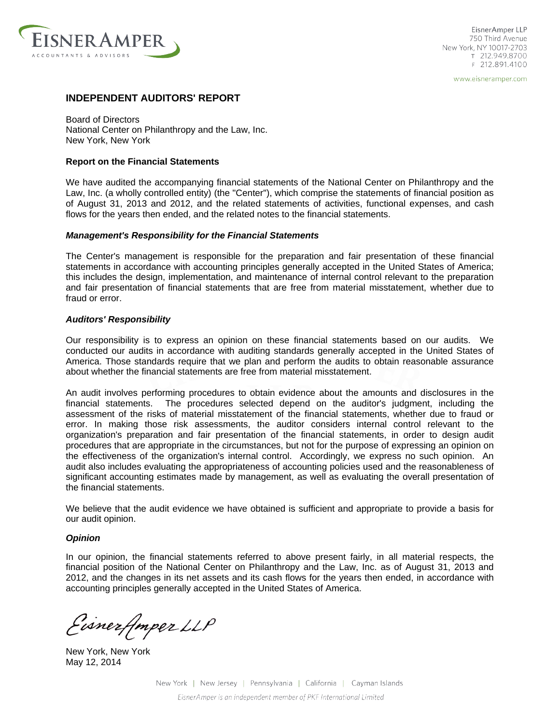

EisnerAmper LLP 750 Third Avenue New York, NY 10017-2703 T 212.949.8700 F 212.891.4100

www.eisneramper.com

## **INDEPENDENT AUDITORS' REPORT**

Board of Directors National Center on Philanthropy and the Law, Inc. New York, New York

#### **Report on the Financial Statements**

We have audited the accompanying financial statements of the National Center on Philanthropy and the Law, Inc. (a wholly controlled entity) (the "Center"), which comprise the statements of financial position as of August 31, 2013 and 2012, and the related statements of activities, functional expenses, and cash flows for the years then ended, and the related notes to the financial statements.

#### *Management's Responsibility for the Financial Statements*

The Center's management is responsible for the preparation and fair presentation of these financial statements in accordance with accounting principles generally accepted in the United States of America; this includes the design, implementation, and maintenance of internal control relevant to the preparation and fair presentation of financial statements that are free from material misstatement, whether due to fraud or error.

#### *Auditors' Responsibility*

Our responsibility is to express an opinion on these financial statements based on our audits. We conducted our audits in accordance with auditing standards generally accepted in the United States of America. Those standards require that we plan and perform the audits to obtain reasonable assurance about whether the financial statements are free from material misstatement.

An audit involves performing procedures to obtain evidence about the amounts and disclosures in the financial statements. The procedures selected depend on the auditor's judgment, including the assessment of the risks of material misstatement of the financial statements, whether due to fraud or error. In making those risk assessments, the auditor considers internal control relevant to the organization's preparation and fair presentation of the financial statements, in order to design audit procedures that are appropriate in the circumstances, but not for the purpose of expressing an opinion on the effectiveness of the organization's internal control. Accordingly, we express no such opinion. An audit also includes evaluating the appropriateness of accounting policies used and the reasonableness of significant accounting estimates made by management, as well as evaluating the overall presentation of the financial statements.

We believe that the audit evidence we have obtained is sufficient and appropriate to provide a basis for our audit opinion.

#### *Opinion*

In our opinion, the financial statements referred to above present fairly, in all material respects, the financial position of the National Center on Philanthropy and the Law, Inc. as of August 31, 2013 and 2012, and the changes in its net assets and its cash flows for the years then ended, in accordance with accounting principles generally accepted in the United States of America.

Eisnerfmper LLP

New York, New York May 12, 2014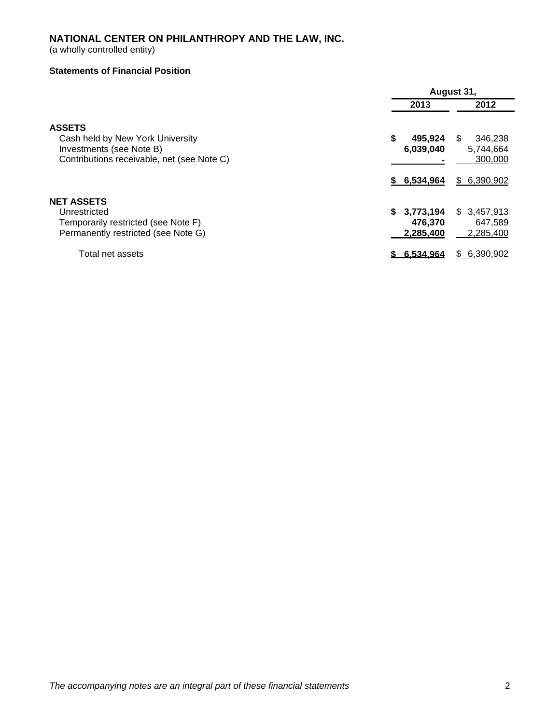(a wholly controlled entity)

# **Statements of Financial Position**

|                                            | August 31,      |                  |  |
|--------------------------------------------|-----------------|------------------|--|
|                                            | 2013            | 2012             |  |
| <b>ASSETS</b>                              |                 |                  |  |
| Cash held by New York University           | \$<br>495,924   | 346,238<br>S     |  |
| Investments (see Note B)                   | 6,039,040       | 5,744,664        |  |
| Contributions receivable, net (see Note C) |                 | 300,000          |  |
|                                            | \$6.534.964     | \$6,390,902      |  |
| <b>NET ASSETS</b>                          |                 |                  |  |
| Unrestricted                               | 3,773,194<br>S. | \$3,457,913      |  |
| Temporarily restricted (see Note F)        | 476.370         | 647.589          |  |
| Permanently restricted (see Note G)        | 2.285.400       | 2.285.400        |  |
| Total net assets                           | 6.534.964       | 6,390,902<br>\$. |  |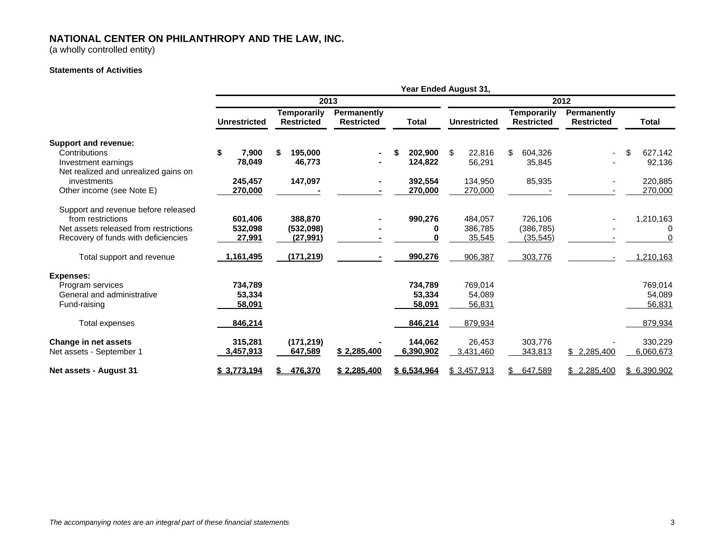(a wholly controlled entity)

#### **Statements of Activities**

|                                       |                     |                                  |                                  |               | Year Ended August 31, |                                         |                                  |               |  |  |
|---------------------------------------|---------------------|----------------------------------|----------------------------------|---------------|-----------------------|-----------------------------------------|----------------------------------|---------------|--|--|
|                                       |                     |                                  | 2013                             |               |                       | 2012                                    |                                  |               |  |  |
|                                       | <b>Unrestricted</b> | Temporarily<br><b>Restricted</b> | Permanently<br><b>Restricted</b> | <b>Total</b>  | <b>Unrestricted</b>   | <b>Temporarily</b><br><b>Restricted</b> | Permanently<br><b>Restricted</b> | <b>Total</b>  |  |  |
| Support and revenue:                  |                     |                                  |                                  |               |                       |                                         |                                  |               |  |  |
| Contributions                         | \$<br>7,900         | 195,000<br>\$                    | $\blacksquare$                   | 202,900<br>\$ | 22,816<br>\$          | 604,326<br>\$                           | ٠                                | \$<br>627,142 |  |  |
| Investment earnings                   | 78,049              | 46,773                           |                                  | 124,822       | 56,291                | 35,845                                  |                                  | 92,136        |  |  |
| Net realized and unrealized gains on  |                     |                                  |                                  |               |                       |                                         |                                  |               |  |  |
| investments                           | 245,457             | 147,097                          |                                  | 392,554       | 134,950               | 85,935                                  |                                  | 220,885       |  |  |
| Other income (see Note E)             | 270,000             |                                  |                                  | 270,000       | 270,000               |                                         |                                  | 270,000       |  |  |
| Support and revenue before released   |                     |                                  |                                  |               |                       |                                         |                                  |               |  |  |
| from restrictions                     | 601,406             | 388,870                          |                                  | 990,276       | 484,057               | 726,106                                 |                                  | 1,210,163     |  |  |
| Net assets released from restrictions | 532,098             | (532,098)                        |                                  | 0             | 386,785               | (386, 785)                              |                                  |               |  |  |
| Recovery of funds with deficiencies   | 27,991              | (27, 991)                        |                                  | 0             | 35,545                | (35, 545)                               |                                  | 0             |  |  |
| Total support and revenue             | 1,161,495           | (171, 219)                       |                                  | 990,276       | 906,387               | 303,776                                 |                                  | 1,210,163     |  |  |
| <b>Expenses:</b>                      |                     |                                  |                                  |               |                       |                                         |                                  |               |  |  |
| Program services                      | 734,789             |                                  |                                  | 734,789       | 769,014               |                                         |                                  | 769,014       |  |  |
| General and administrative            | 53,334              |                                  |                                  | 53,334        | 54,089                |                                         |                                  | 54,089        |  |  |
| Fund-raising                          | 58,091              |                                  |                                  | 58,091        | 56,831                |                                         |                                  | 56,831        |  |  |
| Total expenses                        | 846,214             |                                  |                                  | 846,214       | 879,934               |                                         |                                  | 879,934       |  |  |
| Change in net assets                  | 315,281             | (171, 219)                       |                                  | 144,062       | 26,453                | 303,776                                 |                                  | 330,229       |  |  |
| Net assets - September 1              | 3,457,913           | 647,589                          | \$2,285,400                      | 6,390,902     | 3,431,460             | 343,813                                 | \$2,285,400                      | 6,060,673     |  |  |
| Net assets - August 31                | \$3,773,194         | 476,370                          | \$2,285,400                      | \$6,534,964   | \$3,457,913           | 647,589<br>S.                           | \$2,285,400                      | \$6,390,902   |  |  |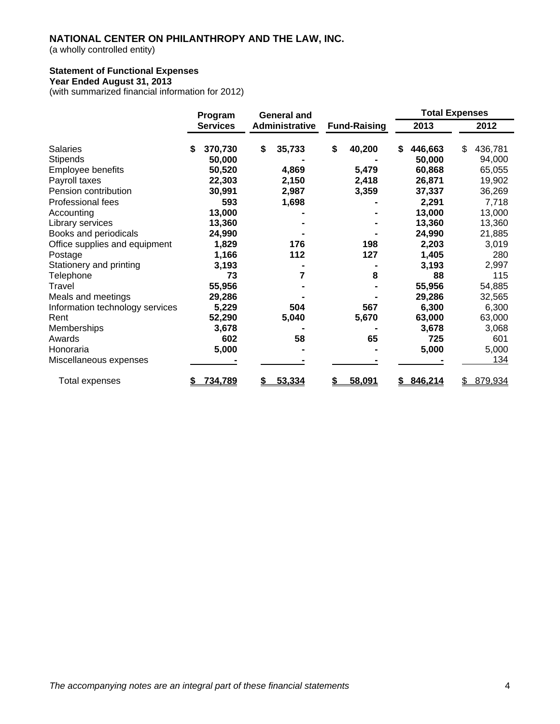(a wholly controlled entity)

# **Statement of Functional Expenses**

# **Year Ended August 31, 2013**

(with summarized financial information for 2012)

|                                 | Program |                 | <b>General and</b> |    |                     | <b>Total Expenses</b> |           |    |         |
|---------------------------------|---------|-----------------|--------------------|----|---------------------|-----------------------|-----------|----|---------|
|                                 |         | <b>Services</b> | Administrative     |    | <b>Fund-Raising</b> |                       | 2013      |    | 2012    |
| <b>Salaries</b>                 | S       | 370,730         | \$<br>35,733       | \$ | 40,200              | S                     | 446,663   | \$ | 436,781 |
| <b>Stipends</b>                 |         | 50,000          |                    |    |                     |                       | 50,000    |    | 94,000  |
| Employee benefits               |         | 50,520          | 4,869              |    | 5,479               |                       | 60,868    |    | 65,055  |
| Payroll taxes                   |         | 22,303          | 2,150              |    | 2,418               |                       | 26,871    |    | 19,902  |
| Pension contribution            |         | 30,991          | 2,987              |    | 3,359               |                       | 37,337    |    | 36,269  |
| Professional fees               |         | 593             | 1,698              |    |                     |                       | 2,291     |    | 7,718   |
| Accounting                      |         | 13,000          |                    |    |                     |                       | 13,000    |    | 13,000  |
| Library services                |         | 13,360          |                    |    |                     |                       | 13,360    |    | 13,360  |
| Books and periodicals           |         | 24,990          |                    |    |                     |                       | 24,990    |    | 21,885  |
| Office supplies and equipment   |         | 1,829           | 176                |    | 198                 |                       | 2,203     |    | 3,019   |
| Postage                         |         | 1,166           | 112                |    | 127                 |                       | 1,405     |    | 280     |
| Stationery and printing         |         | 3,193           |                    |    |                     |                       | 3,193     |    | 2,997   |
| Telephone                       |         | 73              | 7                  |    | 8                   |                       | 88        |    | 115     |
| Travel                          |         | 55,956          |                    |    |                     |                       | 55,956    |    | 54,885  |
| Meals and meetings              |         | 29,286          |                    |    |                     |                       | 29,286    |    | 32,565  |
| Information technology services |         | 5,229           | 504                |    | 567                 |                       | 6,300     |    | 6,300   |
| Rent                            |         | 52,290          | 5,040              |    | 5,670               |                       | 63,000    |    | 63,000  |
| Memberships                     |         | 3,678           |                    |    |                     |                       | 3,678     |    | 3,068   |
| Awards                          |         | 602             | 58                 |    | 65                  |                       | 725       |    | 601     |
| Honoraria                       |         | 5,000           |                    |    |                     |                       | 5,000     |    | 5,000   |
| Miscellaneous expenses          |         |                 |                    |    |                     |                       |           |    | 134     |
| Total expenses                  |         | 734,789         | \$<br>53,334       |    | 58,091              |                       | \$846,214 | \$ | 879,934 |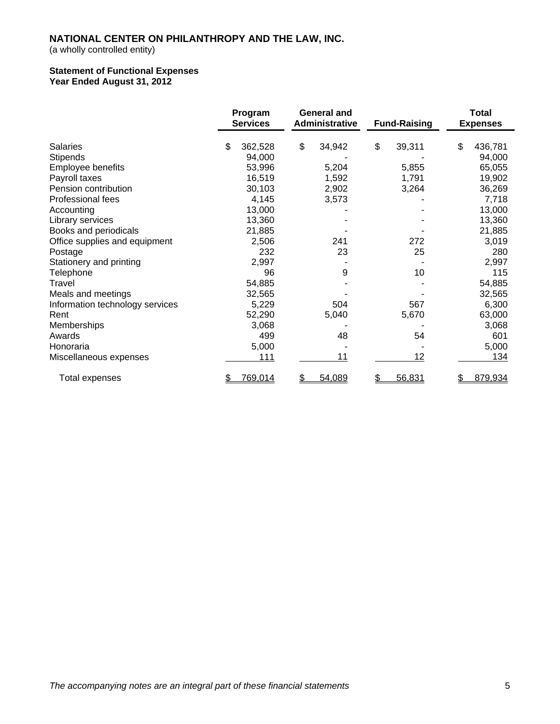(a wholly controlled entity)

#### **Statement of Functional Expenses Year Ended August 31, 2012**

|                                 | Program<br><b>Services</b> | <b>General and</b><br><b>Administrative</b> | <b>Fund-Raising</b> | <b>Total</b><br><b>Expenses</b> |
|---------------------------------|----------------------------|---------------------------------------------|---------------------|---------------------------------|
| <b>Salaries</b>                 | \$<br>362,528              | \$<br>34,942                                | \$<br>39,311        | \$<br>436,781                   |
| <b>Stipends</b>                 | 94,000                     |                                             |                     | 94,000                          |
| Employee benefits               | 53,996                     | 5,204                                       | 5,855               | 65,055                          |
| Payroll taxes                   | 16,519                     | 1,592                                       | 1,791               | 19,902                          |
| Pension contribution            | 30,103                     | 2,902                                       | 3,264               | 36,269                          |
| Professional fees               | 4,145                      | 3,573                                       |                     | 7,718                           |
| Accounting                      | 13,000                     |                                             |                     | 13,000                          |
| Library services                | 13,360                     |                                             |                     | 13,360                          |
| Books and periodicals           | 21,885                     |                                             |                     | 21,885                          |
| Office supplies and equipment   | 2,506                      | 241                                         | 272                 | 3,019                           |
| Postage                         | 232                        | 23                                          | 25                  | 280                             |
| Stationery and printing         | 2,997                      |                                             |                     | 2,997                           |
| Telephone                       | 96                         | 9                                           | 10                  | 115                             |
| Travel                          | 54,885                     |                                             |                     | 54,885                          |
| Meals and meetings              | 32,565                     |                                             |                     | 32,565                          |
| Information technology services | 5,229                      | 504                                         | 567                 | 6,300                           |
| Rent                            | 52,290                     | 5,040                                       | 5,670               | 63,000                          |
| <b>Memberships</b>              | 3,068                      |                                             |                     | 3,068                           |
| Awards                          | 499                        | 48                                          | 54                  | 601                             |
| Honoraria                       | 5,000                      |                                             |                     | 5,000                           |
| Miscellaneous expenses          | 111                        | 11                                          | 12                  | 134                             |
| Total expenses                  | 769,014<br>\$              | \$<br>54,089                                | 56,831<br>\$        | 879,934                         |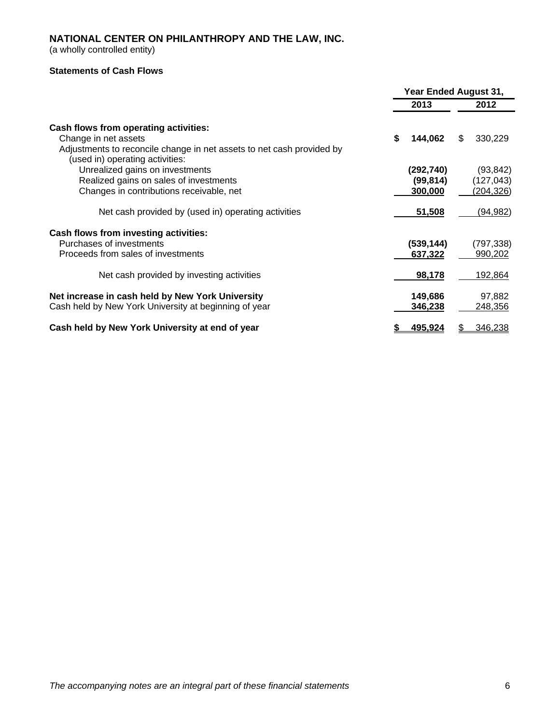(a wholly controlled entity)

# **Statements of Cash Flows**

|                                                                                                                                  | Year Ended August 31, |            |    |            |
|----------------------------------------------------------------------------------------------------------------------------------|-----------------------|------------|----|------------|
|                                                                                                                                  |                       | 2013       |    | 2012       |
| <b>Cash flows from operating activities:</b>                                                                                     |                       |            |    |            |
| Change in net assets<br>Adjustments to reconcile change in net assets to net cash provided by<br>(used in) operating activities: | \$                    | 144,062    | \$ | 330,229    |
| Unrealized gains on investments                                                                                                  |                       | (292, 740) |    | (93, 842)  |
| Realized gains on sales of investments                                                                                           |                       | (99, 814)  |    | (127, 043) |
| Changes in contributions receivable, net                                                                                         |                       | 300,000    |    | (204,326)  |
| Net cash provided by (used in) operating activities                                                                              |                       | 51,508     |    | (94, 982)  |
| Cash flows from investing activities:                                                                                            |                       |            |    |            |
| Purchases of investments                                                                                                         |                       | (539, 144) |    | (797, 338) |
| Proceeds from sales of investments                                                                                               |                       | 637,322    |    | 990,202    |
| Net cash provided by investing activities                                                                                        |                       | 98,178     |    | 192,864    |
| Net increase in cash held by New York University                                                                                 |                       | 149,686    |    | 97,882     |
| Cash held by New York University at beginning of year                                                                            |                       | 346,238    |    | 248,356    |
| Cash held by New York University at end of year                                                                                  |                       | 495,924    | æ. | 346,238    |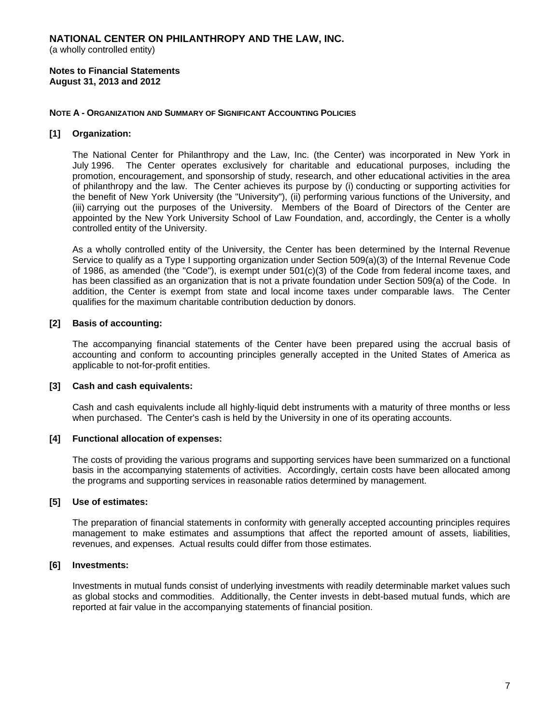(a wholly controlled entity)

**Notes to Financial Statements August 31, 2013 and 2012** 

# **NOTE A - ORGANIZATION AND SUMMARY OF SIGNIFICANT ACCOUNTING POLICIES**

# **[1] Organization:**

The National Center for Philanthropy and the Law, Inc. (the Center) was incorporated in New York in July 1996. The Center operates exclusively for charitable and educational purposes, including the promotion, encouragement, and sponsorship of study, research, and other educational activities in the area of philanthropy and the law. The Center achieves its purpose by (i) conducting or supporting activities for the benefit of New York University (the "University"), (ii) performing various functions of the University, and (iii) carrying out the purposes of the University. Members of the Board of Directors of the Center are appointed by the New York University School of Law Foundation, and, accordingly, the Center is a wholly controlled entity of the University.

As a wholly controlled entity of the University, the Center has been determined by the Internal Revenue Service to qualify as a Type I supporting organization under Section 509(a)(3) of the Internal Revenue Code of 1986, as amended (the "Code"), is exempt under 501(c)(3) of the Code from federal income taxes, and has been classified as an organization that is not a private foundation under Section 509(a) of the Code. In addition, the Center is exempt from state and local income taxes under comparable laws. The Center qualifies for the maximum charitable contribution deduction by donors.

#### **[2] Basis of accounting:**

The accompanying financial statements of the Center have been prepared using the accrual basis of accounting and conform to accounting principles generally accepted in the United States of America as applicable to not-for-profit entities.

# **[3] Cash and cash equivalents:**

Cash and cash equivalents include all highly-liquid debt instruments with a maturity of three months or less when purchased. The Center's cash is held by the University in one of its operating accounts.

#### **[4] Functional allocation of expenses:**

The costs of providing the various programs and supporting services have been summarized on a functional basis in the accompanying statements of activities. Accordingly, certain costs have been allocated among the programs and supporting services in reasonable ratios determined by management.

#### **[5] Use of estimates:**

The preparation of financial statements in conformity with generally accepted accounting principles requires management to make estimates and assumptions that affect the reported amount of assets, liabilities, revenues, and expenses. Actual results could differ from those estimates.

# **[6] Investments:**

Investments in mutual funds consist of underlying investments with readily determinable market values such as global stocks and commodities. Additionally, the Center invests in debt-based mutual funds, which are reported at fair value in the accompanying statements of financial position.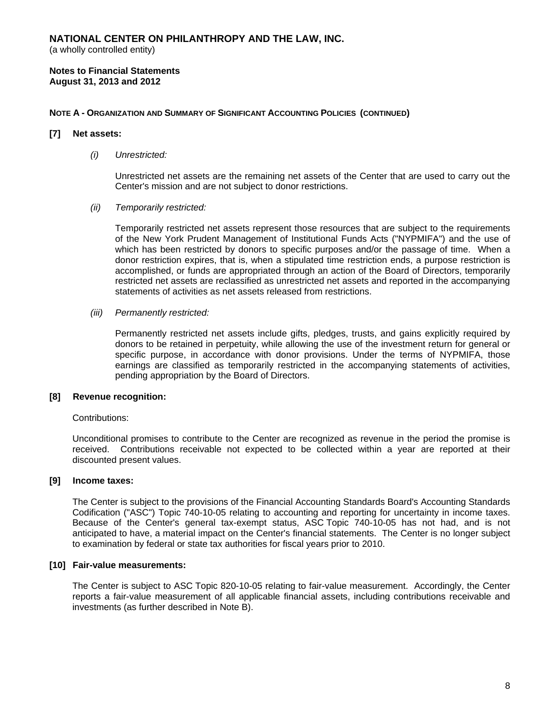(a wholly controlled entity)

#### **Notes to Financial Statements August 31, 2013 and 2012**

#### **NOTE A - ORGANIZATION AND SUMMARY OF SIGNIFICANT ACCOUNTING POLICIES (CONTINUED)**

#### **[7] Net assets:**

#### *(i) Unrestricted:*

Unrestricted net assets are the remaining net assets of the Center that are used to carry out the Center's mission and are not subject to donor restrictions.

#### *(ii) Temporarily restricted:*

Temporarily restricted net assets represent those resources that are subject to the requirements of the New York Prudent Management of Institutional Funds Acts ("NYPMIFA") and the use of which has been restricted by donors to specific purposes and/or the passage of time. When a donor restriction expires, that is, when a stipulated time restriction ends, a purpose restriction is accomplished, or funds are appropriated through an action of the Board of Directors, temporarily restricted net assets are reclassified as unrestricted net assets and reported in the accompanying statements of activities as net assets released from restrictions.

#### *(iii) Permanently restricted:*

Permanently restricted net assets include gifts, pledges, trusts, and gains explicitly required by donors to be retained in perpetuity, while allowing the use of the investment return for general or specific purpose, in accordance with donor provisions. Under the terms of NYPMIFA, those earnings are classified as temporarily restricted in the accompanying statements of activities, pending appropriation by the Board of Directors.

#### **[8] Revenue recognition:**

#### Contributions:

Unconditional promises to contribute to the Center are recognized as revenue in the period the promise is received. Contributions receivable not expected to be collected within a year are reported at their discounted present values.

#### **[9] Income taxes:**

The Center is subject to the provisions of the Financial Accounting Standards Board's Accounting Standards Codification ("ASC") Topic 740-10-05 relating to accounting and reporting for uncertainty in income taxes. Because of the Center's general tax-exempt status, ASC Topic 740-10-05 has not had, and is not anticipated to have, a material impact on the Center's financial statements. The Center is no longer subject to examination by federal or state tax authorities for fiscal years prior to 2010.

#### **[10] Fair-value measurements:**

The Center is subject to ASC Topic 820-10-05 relating to fair-value measurement. Accordingly, the Center reports a fair-value measurement of all applicable financial assets, including contributions receivable and investments (as further described in Note B).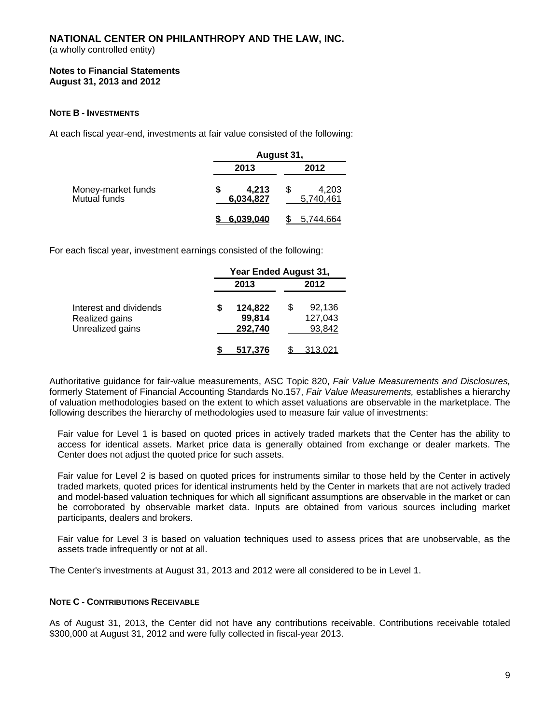(a wholly controlled entity)

#### **Notes to Financial Statements August 31, 2013 and 2012**

#### **NOTE B - INVESTMENTS**

At each fiscal year-end, investments at fair value consisted of the following:

|                                    | August 31,         |                    |  |  |  |
|------------------------------------|--------------------|--------------------|--|--|--|
|                                    | 2013               | 2012               |  |  |  |
| Money-market funds<br>Mutual funds | 4,213<br>6,034,827 | 4,203<br>5,740,461 |  |  |  |
|                                    | 6.039.040          | 5,744,664          |  |  |  |

For each fiscal year, investment earnings consisted of the following:

|                                                              |   | Year Ended August 31,        |   |                             |
|--------------------------------------------------------------|---|------------------------------|---|-----------------------------|
|                                                              |   | 2013                         |   | 2012                        |
| Interest and dividends<br>Realized gains<br>Unrealized gains | S | 124,822<br>99,814<br>292,740 | S | 92,136<br>127,043<br>93,842 |
|                                                              |   | 517.376                      |   | 313.021                     |

Authoritative guidance for fair-value measurements, ASC Topic 820, *Fair Value Measurements and Disclosures,*  formerly Statement of Financial Accounting Standards No.157, *Fair Value Measurements,* establishes a hierarchy of valuation methodologies based on the extent to which asset valuations are observable in the marketplace. The following describes the hierarchy of methodologies used to measure fair value of investments:

Fair value for Level 1 is based on quoted prices in actively traded markets that the Center has the ability to access for identical assets. Market price data is generally obtained from exchange or dealer markets. The Center does not adjust the quoted price for such assets.

Fair value for Level 2 is based on quoted prices for instruments similar to those held by the Center in actively traded markets, quoted prices for identical instruments held by the Center in markets that are not actively traded and model-based valuation techniques for which all significant assumptions are observable in the market or can be corroborated by observable market data. Inputs are obtained from various sources including market participants, dealers and brokers.

Fair value for Level 3 is based on valuation techniques used to assess prices that are unobservable, as the assets trade infrequently or not at all.

The Center's investments at August 31, 2013 and 2012 were all considered to be in Level 1.

#### **NOTE C - CONTRIBUTIONS RECEIVABLE**

As of August 31, 2013, the Center did not have any contributions receivable. Contributions receivable totaled \$300,000 at August 31, 2012 and were fully collected in fiscal-year 2013.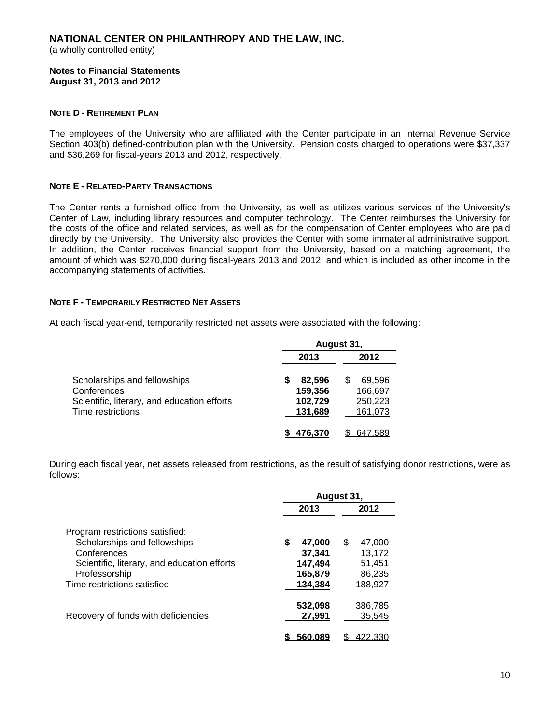(a wholly controlled entity)

#### **Notes to Financial Statements August 31, 2013 and 2012**

#### **NOTE D - RETIREMENT PLAN**

The employees of the University who are affiliated with the Center participate in an Internal Revenue Service Section 403(b) defined-contribution plan with the University. Pension costs charged to operations were \$37,337 and \$36,269 for fiscal-years 2013 and 2012, respectively.

#### **NOTE E - RELATED-PARTY TRANSACTIONS**

The Center rents a furnished office from the University, as well as utilizes various services of the University's Center of Law, including library resources and computer technology. The Center reimburses the University for the costs of the office and related services, as well as for the compensation of Center employees who are paid directly by the University. The University also provides the Center with some immaterial administrative support. In addition, the Center receives financial support from the University, based on a matching agreement, the amount of which was \$270,000 during fiscal-years 2013 and 2012, and which is included as other income in the accompanying statements of activities.

#### **NOTE F - TEMPORARILY RESTRICTED NET ASSETS**

At each fiscal year-end, temporarily restricted net assets were associated with the following:

|                                                                                                                 | August 31,                                   |                                         |  |  |
|-----------------------------------------------------------------------------------------------------------------|----------------------------------------------|-----------------------------------------|--|--|
|                                                                                                                 | 2013                                         | 2012                                    |  |  |
| Scholarships and fellowships<br>Conferences<br>Scientific, literary, and education efforts<br>Time restrictions | 82,596<br>S<br>159,356<br>102,729<br>131,689 | 69,596<br>166,697<br>250,223<br>161,073 |  |  |
|                                                                                                                 | 476.370                                      | 647.589                                 |  |  |

During each fiscal year, net assets released from restrictions, as the result of satisfying donor restrictions, were as follows:

|                                                                                                                                                                               | August 31,                                             |                                                      |  |  |
|-------------------------------------------------------------------------------------------------------------------------------------------------------------------------------|--------------------------------------------------------|------------------------------------------------------|--|--|
|                                                                                                                                                                               | 2013                                                   | 2012                                                 |  |  |
| Program restrictions satisfied:<br>Scholarships and fellowships<br>Conferences<br>Scientific, literary, and education efforts<br>Professorship<br>Time restrictions satisfied | 47,000<br>S<br>37,341<br>147,494<br>165,879<br>134.384 | 47,000<br>S<br>13.172<br>51,451<br>86,235<br>188.927 |  |  |
| Recovery of funds with deficiencies                                                                                                                                           | 532,098<br>27,991<br>560.089                           | 386,785<br>35,545                                    |  |  |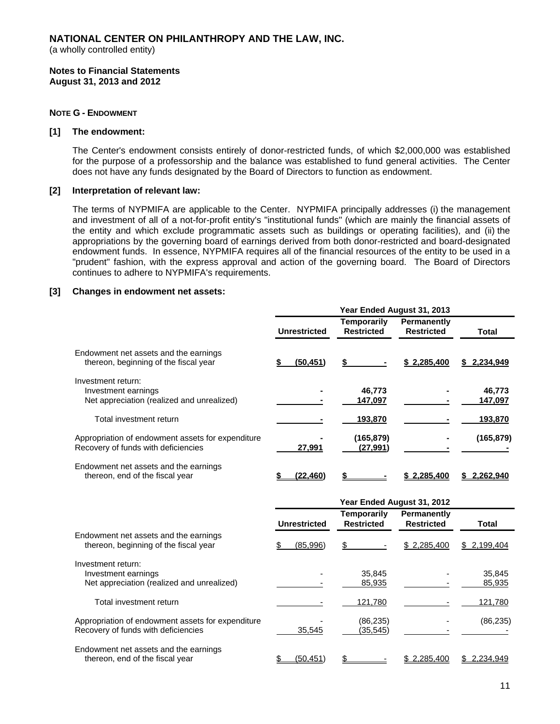(a wholly controlled entity)

**Notes to Financial Statements August 31, 2013 and 2012** 

#### **NOTE G - ENDOWMENT**

#### **[1] The endowment:**

The Center's endowment consists entirely of donor-restricted funds, of which \$2,000,000 was established for the purpose of a professorship and the balance was established to fund general activities. The Center does not have any funds designated by the Board of Directors to function as endowment.

#### **[2] Interpretation of relevant law:**

The terms of NYPMIFA are applicable to the Center. NYPMIFA principally addresses (i) the management and investment of all of a not-for-profit entity's "institutional funds" (which are mainly the financial assets of the entity and which exclude programmatic assets such as buildings or operating facilities), and (ii) the appropriations by the governing board of earnings derived from both donor-restricted and board-designated endowment funds. In essence, NYPMIFA requires all of the financial resources of the entity to be used in a "prudent" fashion, with the express approval and action of the governing board. The Board of Directors continues to adhere to NYPMIFA's requirements.

#### **[3] Changes in endowment net assets:**

|                                                                                          |                                      |                                         | Year Ended August 31, 2013       |                             |
|------------------------------------------------------------------------------------------|--------------------------------------|-----------------------------------------|----------------------------------|-----------------------------|
|                                                                                          | <b>Unrestricted</b>                  | <b>Temporarily</b><br><b>Restricted</b> | Permanently<br><b>Restricted</b> | <b>Total</b>                |
| Endowment net assets and the earnings<br>thereon, beginning of the fiscal year           | (50, 451)                            | \$                                      | \$2,285,400                      | \$2,234,949                 |
| Investment return:<br>Investment earnings<br>Net appreciation (realized and unrealized)  |                                      | 46,773<br>147,097                       |                                  | 46,773<br>147,097           |
| Total investment return                                                                  |                                      | 193,870                                 |                                  | 193,870                     |
| Appropriation of endowment assets for expenditure<br>Recovery of funds with deficiencies | 27,991                               | (165, 879)<br>(27, 991)                 |                                  | (165, 879)                  |
| Endowment net assets and the earnings<br>thereon, end of the fiscal year                 | (22, 460)                            |                                         | \$2,285,400                      | \$2,262,940                 |
|                                                                                          |                                      |                                         |                                  |                             |
|                                                                                          |                                      |                                         | Year Ended August 31, 2012       |                             |
|                                                                                          |                                      | Temporarily                             | Permanently                      |                             |
| Endowment net assets and the earnings<br>thereon, beginning of the fiscal year           | <b>Unrestricted</b><br>(85,996)<br>S | <b>Restricted</b><br>\$                 | <b>Restricted</b><br>\$2,285,400 | <b>Total</b><br>\$2,199,404 |
| Investment return:<br>Investment earnings<br>Net appreciation (realized and unrealized)  |                                      | 35,845<br>85,935                        |                                  | 35.845<br>85,935            |
| Total investment return                                                                  |                                      | 121,780                                 |                                  | 121,780                     |
| Appropriation of endowment assets for expenditure<br>Recovery of funds with deficiencies | 35,545                               | (86, 235)<br>(35, 545)                  |                                  | (86, 235)                   |